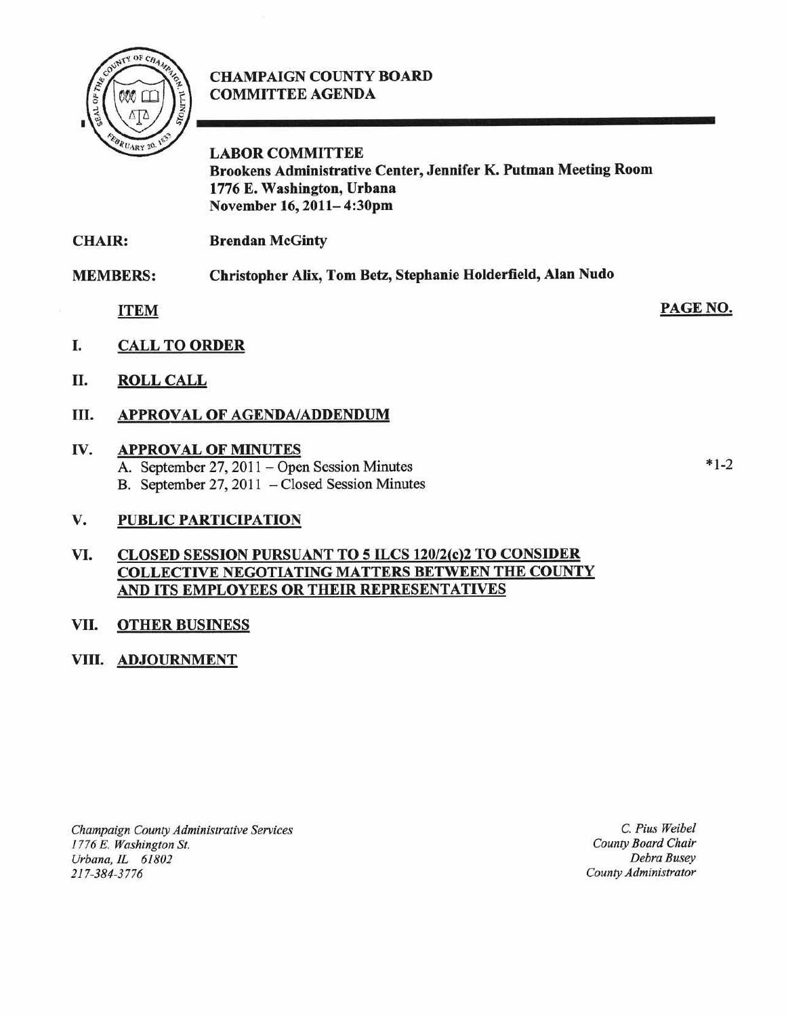

# CHAMPAIGN COUNTY BOARD COMMITTEE AGENDA

# LABOR COMMITTEE Brookens Administrative Center, Jennifer K. Putman Meeting Room 1776 E. Washington, Urbana November 16, 2011— 4:30pm

CHAIR: **Brendan McGinty** 

MEMBERS: Christopher Alix, Tom Betz, Stephanie Holderfield, Alan Nudo

ITEM

PAGE NO.

- I. CALL TO ORDER
- II. ROLL CALL

# Ill. APPROVAL OF AGENDA/ADDENDUM

### IV. APPROVAL OF MINUTES

A. September 27, 2011 – Open Session Minutes B. September 27, 2011 – Closed Session Minutes

### V. PUBLIC PARTICIPATION

# B. September 27, 2011 – Closed Session Minutes<br>
V. PUBLIC PARTICIPATION<br>
VI. CLOSED SESSION PURSUANT TO 5 ILCS 120/2(c)2 TO CONSIDER<br>
COLLECTIVE NEGOTIATING MATTERS BETWEEN THE COUNTY AND ITS EMPLOYEES OR THEIR REPRESENTATIVES

### VII. OTHER BUSINESS

### VIII. ADJOURNMENT

Champaign County Administrative Services 1776 E. Washington St. Urbana, IL 61802 217-384-3776

C. Pius Weibel County Board Chair Debra Busev County Administrator  $*1-2$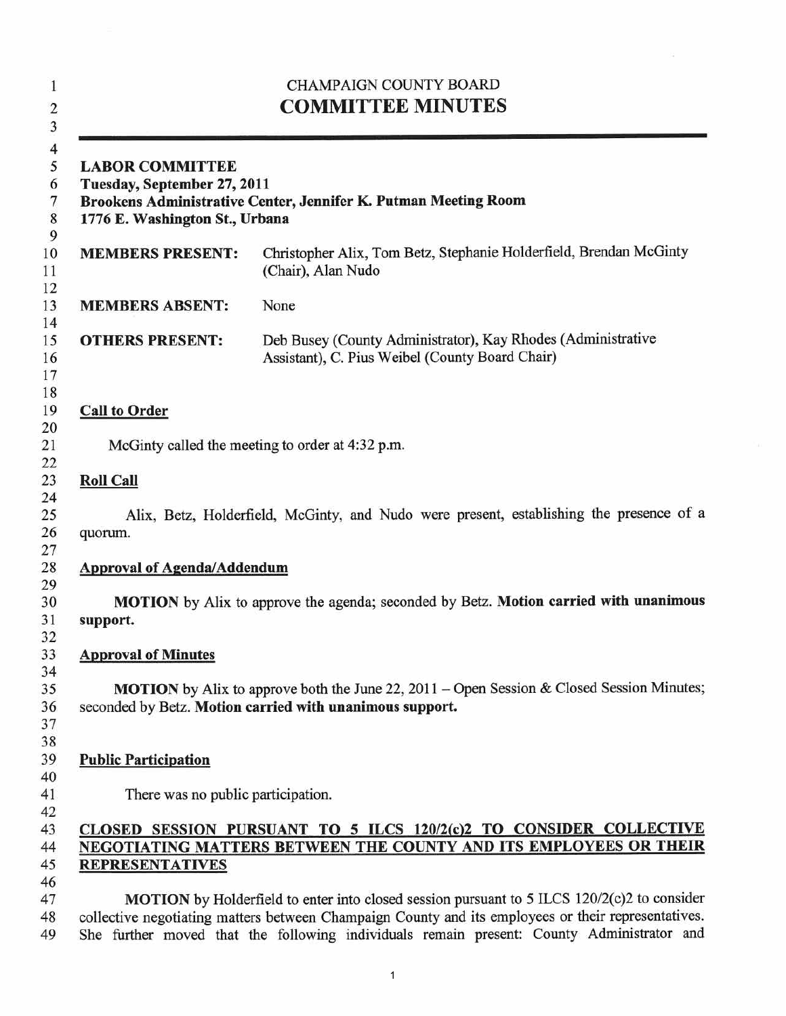| <b>CHAMPAIGN COUNTY BOARD</b><br><b>COMMITTEE MINUTES</b><br><b>LABOR COMMITTEE</b><br>Tuesday, September 27, 2011<br>Brookens Administrative Center, Jennifer K. Putman Meeting Room<br>1776 E. Washington St., Urbana |                                                                                                                                                                                                                                                                                                        |
|-------------------------------------------------------------------------------------------------------------------------------------------------------------------------------------------------------------------------|--------------------------------------------------------------------------------------------------------------------------------------------------------------------------------------------------------------------------------------------------------------------------------------------------------|
|                                                                                                                                                                                                                         |                                                                                                                                                                                                                                                                                                        |
| <b>MEMBERS ABSENT:</b>                                                                                                                                                                                                  | None                                                                                                                                                                                                                                                                                                   |
| <b>OTHERS PRESENT:</b>                                                                                                                                                                                                  | Deb Busey (County Administrator), Kay Rhodes (Administrative<br>Assistant), C. Pius Weibel (County Board Chair)                                                                                                                                                                                        |
| <b>Call to Order</b>                                                                                                                                                                                                    |                                                                                                                                                                                                                                                                                                        |
|                                                                                                                                                                                                                         | McGinty called the meeting to order at 4:32 p.m.                                                                                                                                                                                                                                                       |
| <b>Roll Call</b>                                                                                                                                                                                                        |                                                                                                                                                                                                                                                                                                        |
| quorum.                                                                                                                                                                                                                 | Alix, Betz, Holderfield, McGinty, and Nudo were present, establishing the presence of a                                                                                                                                                                                                                |
| <b>Approval of Agenda/Addendum</b>                                                                                                                                                                                      |                                                                                                                                                                                                                                                                                                        |
| support.                                                                                                                                                                                                                | MOTION by Alix to approve the agenda; seconded by Betz. Motion carried with unanimous                                                                                                                                                                                                                  |
| <b>Approval of Minutes</b>                                                                                                                                                                                              |                                                                                                                                                                                                                                                                                                        |
|                                                                                                                                                                                                                         | <b>MOTION</b> by Alix to approve both the June 22, 2011 – Open Session & Closed Session Minutes;<br>seconded by Betz. Motion carried with unanimous support.                                                                                                                                           |
| <b>Public Participation</b>                                                                                                                                                                                             |                                                                                                                                                                                                                                                                                                        |
| There was no public participation.                                                                                                                                                                                      |                                                                                                                                                                                                                                                                                                        |
| <b>REPRESENTATIVES</b>                                                                                                                                                                                                  | CLOSED SESSION PURSUANT TO 5 ILCS 120/2(c)2 TO CONSIDER COLLECTIVE<br>NEGOTIATING MATTERS BETWEEN THE COUNTY AND ITS EMPLOYEES OR THEIR                                                                                                                                                                |
|                                                                                                                                                                                                                         | <b>MOTION</b> by Holderfield to enter into closed session pursuant to 5 ILCS 120/2(c)2 to consider<br>collective negotiating matters between Champaign County and its employees or their representatives.<br>She further moved that the following individuals remain present: County Administrator and |